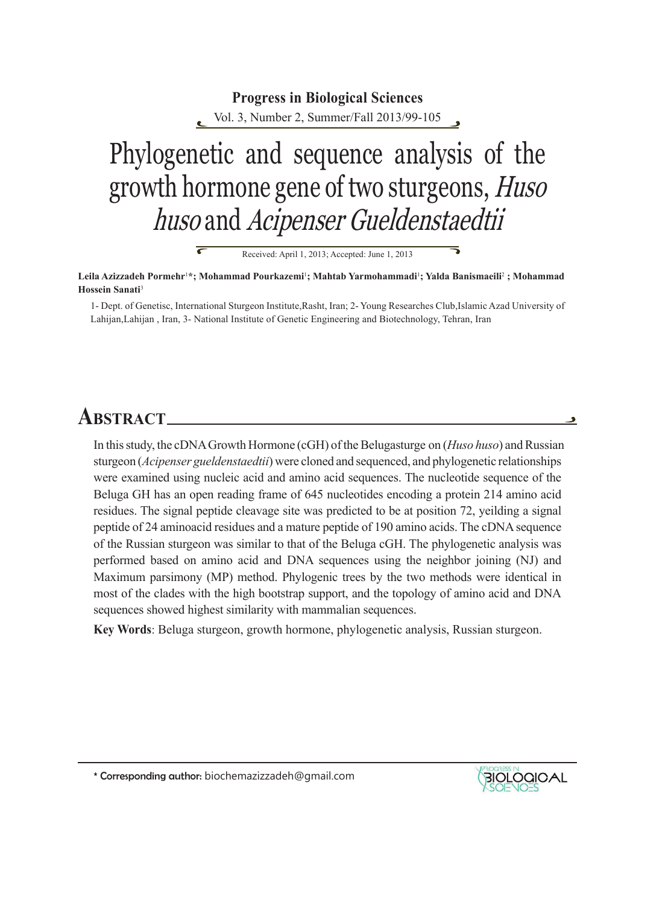# Phylogenetic and sequence analysis of the growth hormone gene of two sturgeons, *Huso* huso and Acipenser Gueldenstaedtii **Progress in Biological Sciences** Vol. 3, Number 2, Summer/Fall 2013/99-105

Received: April 1, 2013; Accepted: June 1, 2013

**Leila Azizzadeh Pormehr**<sup>1</sup> **\*; Mohammad Pourkazemi**<sup>1</sup> **; Mahtab Yarmohammadi**<sup>1</sup> **; Yalda Banismaeili**<sup>2</sup>  **; Mohammad Hossein Sanati**<sup>3</sup>

1- Dept. of Genetisc, International Sturgeon Institute,Rasht, Iran; 2- Young Researches Club,Islamic Azad University of Lahijan,Lahijan , Iran, 3- National Institute of Genetic Engineering and Biotechnology, Tehran, Iran

# **ABSTRACT**

 $\overline{\bm{\epsilon}}$ 

In this study, the cDNA Growth Hormone (cGH) of the Belugasturge on (*Huso huso*) and Russian sturgeon (*Acipenser gueldenstaedtii*) were cloned and sequenced, and phylogenetic relationships were examined using nucleic acid and amino acid sequences. The nucleotide sequence of the Beluga GH has an open reading frame of 645 nucleotides encoding a protein 214 amino acid residues. The signal peptide cleavage site was predicted to be at position 72, yeilding a signal peptide of 24 aminoacid residues and a mature peptide of 190 amino acids. The cDNA sequence of the Russian sturgeon was similar to that of the Beluga cGH. The phylogenetic analysis was performed based on amino acid and DNA sequences using the neighbor joining (NJ) and Maximum parsimony (MP) method. Phylogenic trees by the two methods were identical in most of the clades with the high bootstrap support, and the topology of amino acid and DNA sequences showed highest similarity with mammalian sequences.

**Key Words**: Beluga sturgeon, growth hormone, phylogenetic analysis, Russian sturgeon.

\* Corresponding author: biochemazizzadeh@gmail.com



ă,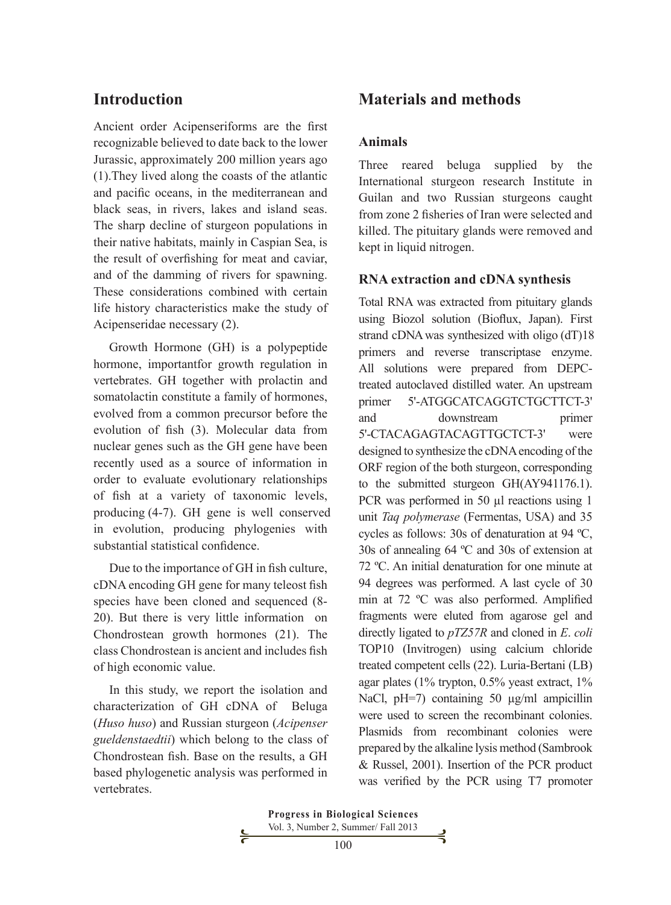# **Introduction**

Ancient order Acipenseriforms are the first recognizable believed to date back to the lower Jurassic, approximately 200 million years ago (1).They lived along the coasts of the atlantic and pacific oceans, in the mediterranean and black seas, in rivers, lakes and island seas. The sharp decline of sturgeon populations in their native habitats, mainly in Caspian Sea, is the result of overfishing for meat and caviar, and of the damming of rivers for spawning. These considerations combined with certain life history characteristics make the study of Acipenseridae necessary (2).

Growth Hormone (GH) is a polypeptide hormone, importantfor growth regulation in vertebrates. GH together with prolactin and somatolactin constitute a family of hormones, evolved from a common precursor before the evolution of fish (3). Molecular data from nuclear genes such as the GH gene have been recently used as a source of information in order to evaluate evolutionary relationships of fish at a variety of taxonomic levels, producing (4-7). GH gene is well conserved in evolution, producing phylogenies with substantial statistical confidence.

Due to the importance of GH in fish culture, cDNA encoding GH gene for many teleost fish species have been cloned and sequenced (8- 20). But there is very little information on Chondrostean growth hormones (21). The class Chondrostean is ancient and includes fish of high economic value.

In this study, we report the isolation and characterization of GH cDNA of Beluga (*Huso huso*) and Russian sturgeon (*Acipenser gueldenstaedtii*) which belong to the class of Chondrostean fish. Base on the results, a GH based phylogenetic analysis was performed in vertebrates.

# **Materials and methods**

#### **Animals**

Three reared beluga supplied by the International sturgeon research Institute in Guilan and two Russian sturgeons caught from zone 2 fisheries of Iran were selected and killed. The pituitary glands were removed and kept in liquid nitrogen.

### **RNA extraction and cDNA synthesis**

Total RNA was extracted from pituitary glands using Biozol solution (Bioflux, Japan). First strand cDNAwas synthesized with oligo (dT)18 primers and reverse transcriptase enzyme. All solutions were prepared from DEPCtreated autoclaved distilled water. An upstream primer 5'-ATGGCATCAGGTCTGCTTCT-3' and downstream primer 5'-CTACAGAGTACAGTTGCTCT-3' were designed to synthesize the cDNA encoding of the ORF region of the both sturgeon, corresponding to the submitted sturgeon GH(AY941176.1). PCR was performed in 50 µl reactions using 1 unit *Taq polymerase* (Fermentas, USA) and 35 cycles as follows: 30s of denaturation at 94 ºC, 30s of annealing 64 ºC and 30s of extension at 72 ºC. An initial denaturation for one minute at 94 degrees was performed. A last cycle of 30 min at 72 ºC was also performed. Amplified fragments were eluted from agarose gel and directly ligated to *pTZ57R* and cloned in *E*. *coli* TOP10 (Invitrogen) using calcium chloride treated competent cells (22). Luria-Bertani (LB) agar plates (1% trypton, 0.5% yeast extract, 1% NaCl, pH=7) containing 50  $\mu$ g/ml ampicillin were used to screen the recombinant colonies. Plasmids from recombinant colonies were prepared by the alkaline lysis method (Sambrook & Russel, 2001). Insertion of the PCR product was verified by the PCR using T7 promoter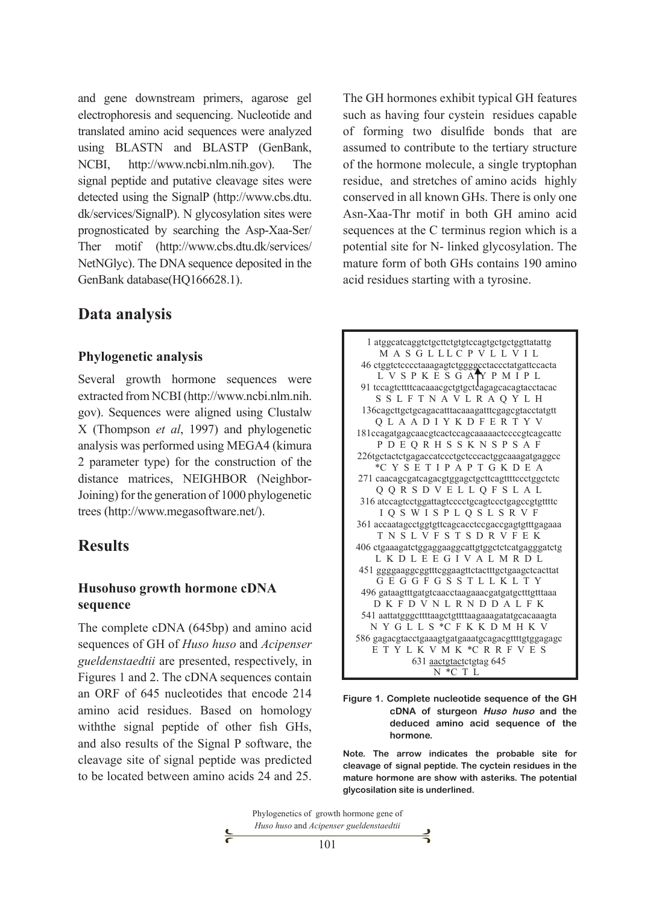and gene downstream primers, agarose gel electrophoresis and sequencing. Nucleotide and translated amino acid sequences were analyzed using BLASTN and BLASTP (GenBank, NCBI, http://www.ncbi.nlm.nih.gov). The signal peptide and putative cleavage sites were detected using the SignalP (http://www.cbs.dtu. dk/services/SignalP). N glycosylation sites were prognosticated by searching the Asp-Xaa-Ser/ Ther motif (http://www.cbs.dtu.dk/services/ NetNGlyc). The DNA sequence deposited in the GenBank database(HQ166628.1).

### **Data analysis**

#### **Phylogenetic analysis**

Several growth hormone sequences were extracted from NCBI (http://www.ncbi.nlm.nih. gov). Sequences were aligned using Clustalw X (Thompson *et al*, 1997) and phylogenetic analysis was performed using MEGA4 (kimura 2 parameter type) for the construction of the distance matrices, NEIGHBOR (Neighbor-Joining) for the generation of 1000 phylogenetic trees (http://www.megasoftware.net/).

# **Results**

#### **Husohuso growth hormone cDNA sequence**

The complete cDNA (645bp) and amino acid sequences of GH of *Huso huso* and *Acipenser gueldenstaedtii* are presented, respectively, in Figures 1 and 2. The cDNA sequences contain an ORF of 645 nucleotides that encode 214 amino acid residues. Based on homology withthe signal peptide of other fish GHs, and also results of the Signal P software, the **Figure 1-1-** Huso husband and the deduced amino according to the deduced amino according to the deduced amino according to the deduced amino according to the deduced amino ac cleavage site of signal peptide was predicted **sequence of the hormone**. to be located between amino acids 24 and 25.

The GH hormones exhibit typical GH features such as having four cystein residues capable of forming two disulfide bonds that are assumed to contribute to the tertiary structure of the hormone molecule, a single tryptophan residue, and stretches of amino acids highly conserved in all known GHs. There is only one Asn-Xaa-Thr motif in both GH amino acid sequences at the C terminus region which is a potential site for N- linked glycosylation. The mature form of both GHs contains 190 amino acid residues starting with a tyrosine.

| 1 atggcatcaggtctgcttctgtgtccagtgctgctggttatattg   |  |  |  |
|---------------------------------------------------|--|--|--|
| MASGLLLCPVLLVIL                                   |  |  |  |
| 46 ctggtctcccctaaagagtctggggcctaccctatgattccacta  |  |  |  |
| L V S P K E S G A Y P M I P L                     |  |  |  |
| 91 tecagtetttteacaaacgetgtgeteagagcacagtacetacac  |  |  |  |
| SSLFTNAVLRAQYLH                                   |  |  |  |
| 136cagcttgctgcagacatttacaaagatttcgagcgtacctatgtt  |  |  |  |
| Q L A A D I Y K D F E R T Y V                     |  |  |  |
| 181ccagatgagcaacgtcactccagcaaaaactccccgtcagcattc  |  |  |  |
| PDEQRHSSKNSPSAF                                   |  |  |  |
| 226tgctactctgagaccatccctgctcccactggcaaagatgaggcc  |  |  |  |
| *C Y S E T I P A P T G K D E A                    |  |  |  |
| 271 caacagcgatcagacgtggagctgcttcagttttccctggctctc |  |  |  |
| Q Q R S D V E L L Q F S L A L                     |  |  |  |
| 316 atccagtcctggattagtcccctgcagtccctgagccgtgttttc |  |  |  |
| I Q S W I S P L Q S L S R V F                     |  |  |  |
| 361 accaatagcctggtgttcagcacctccgaccgagtgtttgagaaa |  |  |  |
| TNSLVFSTSDRVFEK                                   |  |  |  |
| 406 ctgaaagatctggaggaaggcattgtggctctcatgagggatctg |  |  |  |
| LKDLEEGIVALMRDL                                   |  |  |  |
| 451 ggggaaggcggtttcggaagttctactttgctgaagctcacttat |  |  |  |
| GEGGFGSSTLLKLTY                                   |  |  |  |
| 496 gataagtttgatgtcaacctaagaaacgatgatgctttgtttaaa |  |  |  |
| D K F D V N L R N D D A L F K                     |  |  |  |
| 541 aattatgggcttttaagctgttttaagaaagatatgcacaaagta |  |  |  |
| NYGLLS *CFKKDMHKV                                 |  |  |  |
| 586 gagacgtacctgaaagtgatgaaatgcagacgttttgtggagagc |  |  |  |
| ETYLKVMK *CRRFVES                                 |  |  |  |
| 631 aactgtactctgtag 645<br>N *C T L               |  |  |  |
|                                                   |  |  |  |

 $\frac{1}{2}$  arrow  $\frac{1}{2}$  **Figure 1. Complete nucleotide sequence of the GH** hogy **cDNA** of sturgeon *Huso huso* and the **deduced amino acid sequence of the hormone.** 

> **Note. The arrow indicates the probable site for cleavage of signal peptide. The cyctein residues in the mature hormone are show with asteriks. The potential glycosilation site is underlined.**

| Phylogenetics of growth hormone gene of |  |
|-----------------------------------------|--|
| Huso huso and Acipenser gueldenstaedtii |  |
| 101                                     |  |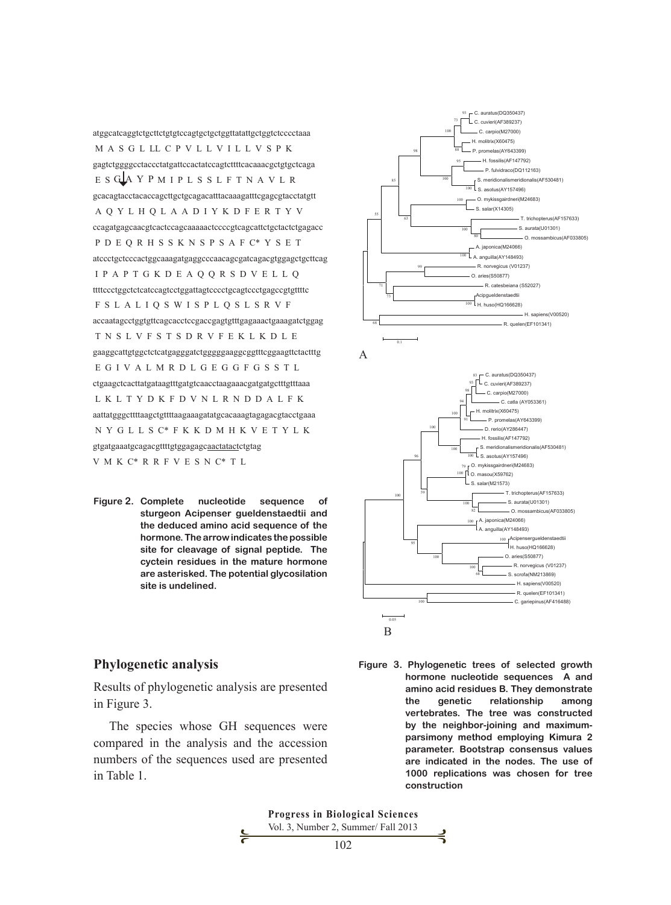atggcatcaggtctgcttctgtgtccagtgctgctggttatattgctggtctcccctaaa M A S G L LL C P V L L V I L L V S P K gagtctggggcctaccctatgattccactatccagtcttttcacaaacgctgtgctcaga E S GLA Y P M I P L S S L F T N A V L R gcacagtacctacaccagcttgctgcagacatttacaaagatttcgagcgtacctatgtt A Q Y L H Q L A A D I Y K D F E R T Y V ccagatgagcaacgtcactccagcaaaaactccccgtcagcattctgctactctgagacc P D E Q R H S S K N S P S A F C\* Y S E T atccctgctcccactggcaaagatgaggcccaacagcgatcagacgtggagctgcttcag I P A P T G K D E A Q Q R S D V E L L Q ttttccctggctctcatccagtcctggattagtcccctgcagtccctgagccgtgttttc F S L A L I Q S W I S P L Q S L S R V F accaatagcctggtgttcagcacctccgaccgagtgtttgagaaactgaaagatctggag T N S L V F S T S D R V F E K L K D L E gaaggcattgtggctctcatgagggatctgggggaaggcggtttcggaagttctactttg E G I V A L M R D L G E G G F G S S T L ctgaagctcacttatgataagtttgatgtcaacctaagaaacgatgatgctttgtttaaa L K L T Y D K F D V N L R N D D A L F K aattatgggcttttaagctgttttaagaaagatatgcacaaagtagagacgtacctgaaa N Y G L L S C\* F K K D M H K V E T Y L K gtgatgaaatgcagacgttttgtggagagc<u>aactatact</u>ctgtag V M K C\* R R F V E S N C\* T L 100 C. auratus(DQ350437) H. molitrix(X60475) S. meridionalismeridionalis(AF530481) 8 B Y B O M 93

**Figure 2. Complete nucleotide sequence of complete indicates the postion residue of the condition residues in the cycle** sturgeon Acipenser gueldenstaedtii and the deduced amino acid sequence of the hormone. The arrow indicates the possible site for cleavage of signal peptide. The cyctein residues in the mature hormone are asterisked. The potential glycosilation **site is undelined.** saas oogaonoo o O. aries(S50877)

#### (Fig. 2) Complete nucleotide sequence of sturgeon *Acipenser gueldenstaedtii* and the deduced amino acid sequence  $\mathbf A$ 83 <del>| C</del>. auratus(DQ350437)<br><sup>93</sup> | ∟C. cuvieri(AF389237) They demonstrate the genetic relationship among vertebrates. The tree was constructed by the neighbor- $\sum_{i=1}^{\infty}$  parsimonent parameter. parameter. Bootstrap consensus values values values values values values values values values values values values values values values values values values values values values value  $\frac{96}{100}$  replications was chosen for the use of the use of the use of the use of the use of the use of the use of the use of the use of the use of the use of the use of the use of the use of the use of the use of the C. auratus(DQ350437) C. cuvieri(AF389237) C. carpio(M27000) molitrix(X60475) P. promelas(AY643399) - H. fossilis(AF147792) P. fulvidraco(DQ112163) S. meridionalismeridionalis(AF530481)  $\mathcal{L}_{\text{S. } \text{asotus(AY157496)}}$  O. mykissgairdneri(M24683) S. salar(X14305) T. trichopterus(AF157633)  $\leq$ S. aurata(U01301) O. mossambicus(AF033805) A. japonica(M24066)  $\mathcal{A}_{\mathsf{A}}$ . anguilla(AY148493) R. norvegicus (V01237) O. aries(S50877) R. catesbeiana (S52027) Acipgueldenstaedtii  $\mathcal{F}$  H. huso(HQ166628) - H. sapiens(V00520) R. quelen(EF101341) 100 100 100 80 100 99 100 95 73 68 71 100 55 63 85 98 93 88 73 100 0.1 A B  $\overline{\phantom{0}}$  C. auraius<br>
C. cuvieri(AF389237) C. carpio(M27000) .<br>- C. catla (AY053361) H. molitrix(X60475) P. promelas(AY643399) D. rerio(AY286447) H. fossilis(AF147792) S. meridionalismeridionalis(AF530481) O. mykissgairdneri(M24683) O. masou(X59762) S. salar(M21573) T. trichopterus(AF157633) S. aurata(U01301) O. mossambicus(AF033805) A. japonica(M24066) 100 A. anguilla(AY148493) Acipensergueldenstaedtii 100 Acipensergueidenst<br>H. huso(HQ166628) O. aries(S50877) R. norvegicus (V01237) S. scrofa(NM213869) - H. sapiens(V00520) R. quelen(EF101341) - C. gariepinus(AF416488) 68 100 100 82 100 79 100 95 100 100 59 96 100 100 91 94 98 0.05

**Phylogenetic analysis**

in Figure 3.

The species whose GH sequences were compared in the analysis and the accession numbers of the sequences used are presented in Table 1.

**Figure 3. Phylogenetic analysis A** and analysis **A** and a sequence sequence in the sequence of selected growth **hormone nucleotide sequences A and amino acid residues B. They demonstrate the genetic relationship among vertebrates.** The tree was constructed values of the maximum- particularly wertebrates. The tree was constructed **by the neighbor-joining and maximumparticle which can be defined was well** the non-tree constructions was parsimony method employing Kimura 2 **parameter. Bootstrap consensus values are indicated in the nodes. The use of 1000 replications was chosen for tree construction**  Results of phylogenetic analysis are presented amino acid residues B. They demonstrated amino acid residues B. They demonstrated

> **Progress in Biological Sciences** Vol. 3, Number 2, Summer/ Fall 2013 102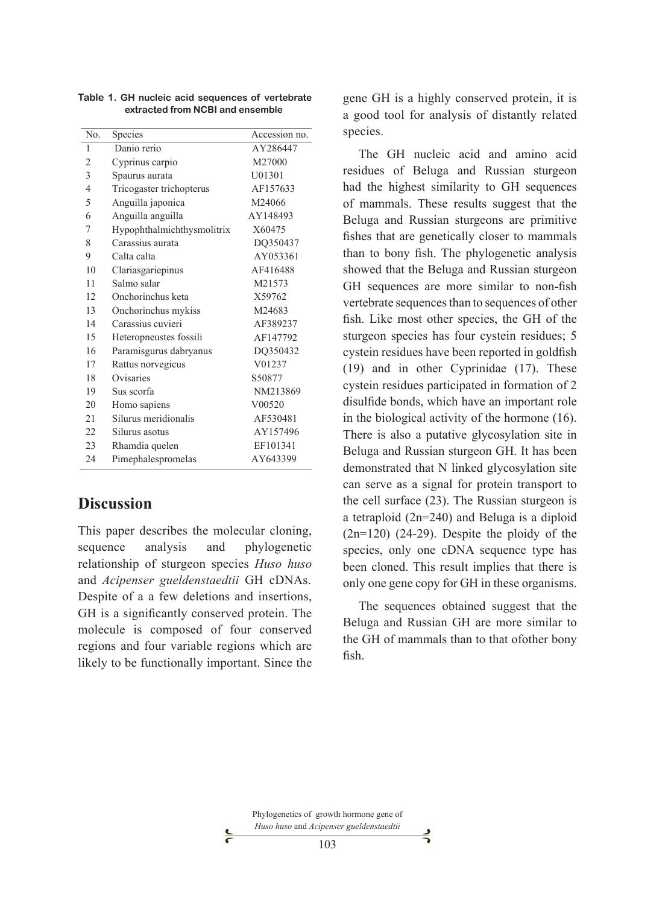| No. | Species                    | Accession no. |
|-----|----------------------------|---------------|
| 1   | Danio rerio                | AY286447      |
| 2   | Cyprinus carpio            | M27000        |
| 3   | Spaurus aurata             | U01301        |
| 4   | Tricogaster trichopterus   | AF157633      |
| 5   | Anguilla japonica          | M24066        |
| 6   | Anguilla anguilla          | AY148493      |
| 7   | Hypophthalmichthysmolitrix | X60475        |
| 8   | Carassius aurata           | DQ350437      |
| 9   | Calta calta                | AY053361      |
| 10  | Clariasgariepinus          | AF416488      |
| 11  | Salmo salar                | M21573        |
| 12  | Onchorinchus keta          | X59762        |
| 13  | Onchorinchus mykiss        | M24683        |
| 14  | Carassius cuvieri          | AF389237      |
| 15  | Heteropneustes fossili     | AF147792      |
| 16  | Paramisgurus dabryanus     | DO350432      |
| 17  | Rattus norvegicus          | V01237        |
| 18  | Ovisaries                  | S50877        |
| 19  | Sus scorfa                 | NM213869      |
| 20  | Homo sapiens               | V00520        |
| 21  | Silurus meridionalis       | AF530481      |
| 22  | Silurus asotus             | AY157496      |
| 23  | Rhamdia quelen             | EF101341      |
| 24  | Pimephalespromelas         | AY643399      |

**Table 1. GH nucleic acid sequences of vertebrate extracted from NCBI and ensemble**

# **Discussion**

This paper describes the molecular cloning, sequence analysis and phylogenetic relationship of sturgeon species *Huso huso*  and *Acipenser gueldenstaedtii* GH cDNAs. Despite of a a few deletions and insertions, GH is a significantly conserved protein. The molecule is composed of four conserved regions and four variable regions which are likely to be functionally important. Since the

gene GH is a highly conserved protein, it is a good tool for analysis of distantly related species.

The GH nucleic acid and amino acid residues of Beluga and Russian sturgeon had the highest similarity to GH sequences of mammals. These results suggest that the Beluga and Russian sturgeons are primitive fishes that are genetically closer to mammals than to bony fish. The phylogenetic analysis showed that the Beluga and Russian sturgeon GH sequences are more similar to non-fish vertebrate sequences than to sequences of other fish. Like most other species, the GH of the sturgeon species has four cystein residues; 5 cystein residues have been reported in goldfish (19) and in other Cyprinidae (17). These cystein residues participated in formation of 2 disulfide bonds, which have an important role in the biological activity of the hormone (16). There is also a putative glycosylation site in Beluga and Russian sturgeon GH. It has been demonstrated that N linked glycosylation site can serve as a signal for protein transport to the cell surface (23). The Russian sturgeon is a tetraploid (2n=240) and Beluga is a diploid  $(2n=120)$   $(24-29)$ . Despite the ploidy of the species, only one cDNA sequence type has been cloned. This result implies that there is only one gene copy for GH in these organisms.

The sequences obtained suggest that the Beluga and Russian GH are more similar to the GH of mammals than to that ofother bony fish.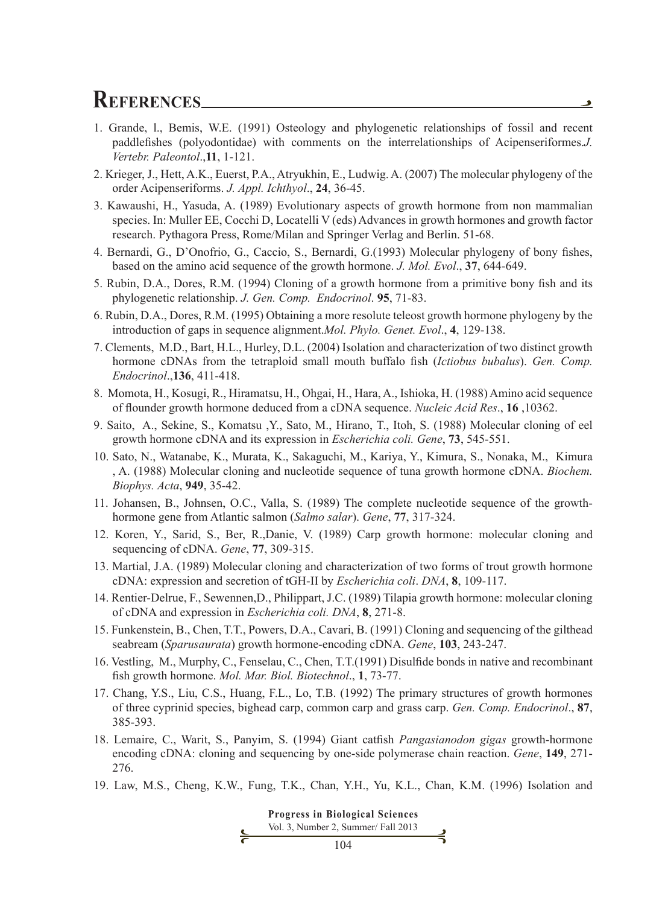# **REFERENCES**

- 1. Grande, l., Bemis, W.E. (1991) Osteology and phylogenetic relationships of fossil and recent paddlefishes (polyodontidae) with comments on the interrelationships of Acipenseriformes.*J. Vertebr. Paleontol*.,**11**, 1-121.
- 2. Krieger, J., Hett, A.K., Euerst, P.A., Atryukhin, E., Ludwig. A. (2007) The molecular phylogeny of the order Acipenseriforms. *J. Appl. Ichthyol*., **24**, 36-45.
- 3. Kawaushi, H., Yasuda, A. (1989) Evolutionary aspects of growth hormone from non mammalian species. In: Muller EE, Cocchi D, Locatelli V (eds) Advances in growth hormones and growth factor research. Pythagora Press, Rome/Milan and Springer Verlag and Berlin. 51-68.
- 4. Bernardi, G., D'Onofrio, G., Caccio, S., Bernardi, G.(1993) Molecular phylogeny of bony fishes, based on the amino acid sequence of the growth hormone. *J. Mol. Evol*., **37**, 644-649.
- 5. Rubin, D.A., Dores, R.M. (1994) Cloning of a growth hormone from a primitive bony fish and its phylogenetic relationship. *J. Gen. Comp. Endocrinol*. **95**, 71-83.
- 6. Rubin, D.A., Dores, R.M. (1995) Obtaining a more resolute teleost growth hormone phylogeny by the introduction of gaps in sequence alignment.*Mol. Phylo. Genet. Evol*., **4**, 129-138.
- 7. Clements, M.D., Bart, H.L., Hurley, D.L. (2004) Isolation and characterization of two distinct growth hormone cDNAs from the tetraploid small mouth buffalo fish (*Ictiobus bubalus*). *Gen. Comp. Endocrinol*.,**136**, 411-418.
- 8. Momota, H., Kosugi, R., Hiramatsu, H., Ohgai, H., Hara, A., Ishioka, H. (1988) Amino acid sequence of flounder growth hormone deduced from a cDNA sequence. *Nucleic Acid Res*., **16** ,10362.
- 9. Saito, A., Sekine, S., Komatsu ,Y., Sato, M., Hirano, T., Itoh, S. (1988) Molecular cloning of eel growth hormone cDNA and its expression in *Escherichia coli. Gene*, **73**, 545-551.
- 10. Sato, N., Watanabe, K., Murata, K., Sakaguchi, M., Kariya, Y., Kimura, S., Nonaka, M., Kimura , A. (1988) Molecular cloning and nucleotide sequence of tuna growth hormone cDNA. *Biochem. Biophys. Acta*, **949**, 35-42.
- 11. Johansen, B., Johnsen, O.C., Valla, S. (1989) The complete nucleotide sequence of the growthhormone gene from Atlantic salmon (*Salmo salar*). *Gene*, **77**, 317-324.
- 12. Koren, Y., Sarid, S., Ber, R.,Danie, V. (1989) Carp growth hormone: molecular cloning and sequencing of cDNA. *Gene*, **77**, 309-315.
- 13. Martial, J.A. (1989) Molecular cloning and characterization of two forms of trout growth hormone cDNA: expression and secretion of tGH-II by *Escherichia coli*. *DNA*, **8**, 109-117.
- 14. Rentier-Delrue, F., Sewennen,D., Philippart, J.C. (1989) Tilapia growth hormone: molecular cloning of cDNA and expression in *Escherichia coli. DNA*, **8**, 271-8.
- 15. Funkenstein, B., Chen, T.T., Powers, D.A., Cavari, B. (1991) Cloning and sequencing of the gilthead seabream (*Sparusaurata*) growth hormone-encoding cDNA. *Gene*, **103**, 243-247.
- 16. Vestling, M., Murphy, C., Fenselau, C., Chen, T.T.(1991) Disulfide bonds in native and recombinant fish growth hormone. *Mol. Mar. Biol. Biotechnol*., **1**, 73-77.
- 17. Chang, Y.S., Liu, C.S., Huang, F.L., Lo, T.B. (1992) The primary structures of growth hormones of three cyprinid species, bighead carp, common carp and grass carp. *Gen. Comp. Endocrinol*., **87**, 385-393.
- 18. Lemaire, C., Warit, S., Panyim, S. (1994) Giant catfish *Pangasianodon gigas* growth-hormone encoding cDNA: cloning and sequencing by one-side polymerase chain reaction. *Gene*, **149**, 271- 276.
- 19. Law, M.S., Cheng, K.W., Fung, T.K., Chan, Y.H., Yu, K.L., Chan, K.M. (1996) Isolation and

**Progress in Biological Sciences** Vol. 3, Number 2, Summer/ Fall 2013 ⊰ 104